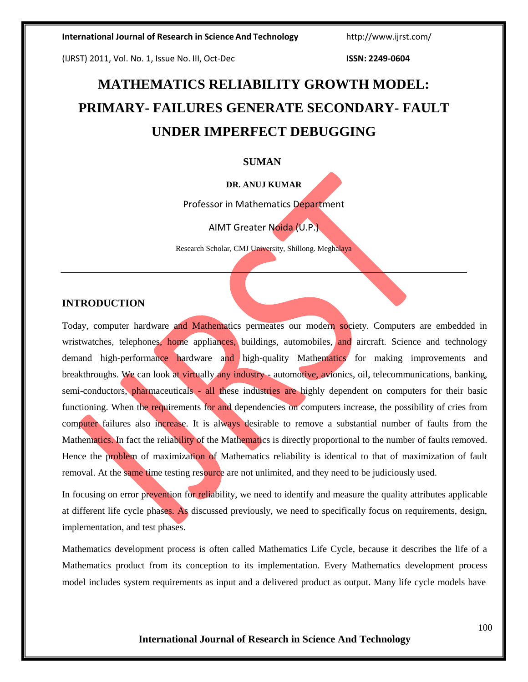(IJRST) 2011, Vol. No. 1, Issue No. III, Oct-Dec **ISSN: 2249-0604**

# **MATHEMATICS RELIABILITY GROWTH MODEL: PRIMARY- FAILURES GENERATE SECONDARY- FAULT UNDER IMPERFECT DEBUGGING**

#### **SUMAN**

#### **DR. ANUJ KUMAR**

Professor in Mathematics Department

AIMT Greater Noida (U.P.)

Research Scholar, CMJ University, Shillong. Meghalaya

## **INTRODUCTION**

Today, computer hardware and Mathematics permeates our modern society. Computers are embedded in wristwatches, telephones, home appliances, buildings, automobiles, and aircraft. Science and technology demand high-performance hardware and high-quality Mathematics for making improvements and breakthroughs. We can look at virtually any industry - automotive, avionics, oil, telecommunications, banking, semi-conductors, pharmaceuticals - all these industries are highly dependent on computers for their basic functioning. When the requirements for and dependencies on computers increase, the possibility of cries from computer failures also increase. It is always desirable to remove a substantial number of faults from the Mathematics. In fact the reliability of the Mathematics is directly proportional to the number of faults removed. Hence the problem of maximization of Mathematics reliability is identical to that of maximization of fault removal. At the same time testing resource are not unlimited, and they need to be judiciously used.

In focusing on error prevention for reliability, we need to identify and measure the quality attributes applicable at different life cycle phases. As discussed previously, we need to specifically focus on requirements, design, implementation, and test phases.

Mathematics development process is often called Mathematics Life Cycle, because it describes the life of a Mathematics product from its conception to its implementation. Every Mathematics development process model includes system requirements as input and a delivered product as output. Many life cycle models have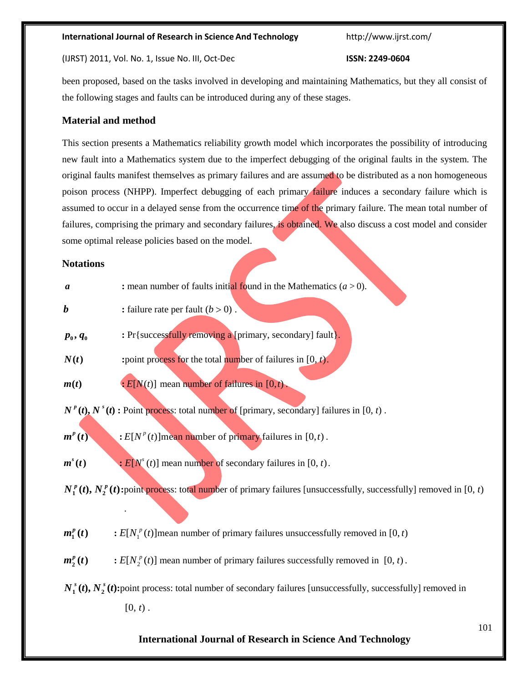(IJRST) 2011, Vol. No. 1, Issue No. III, Oct-Dec **ISSN: 2249-0604**

been proposed, based on the tasks involved in developing and maintaining Mathematics, but they all consist of the following stages and faults can be introduced during any of these stages.

# **Material and method**

This section presents a Mathematics reliability growth model which incorporates the possibility of introducing new fault into a Mathematics system due to the imperfect debugging of the original faults in the system. The original faults manifest themselves as primary failures and are assumed to be distributed as a non homogeneous poison process (NHPP). Imperfect debugging of each primary failure induces a secondary failure which is assumed to occur in a delayed sense from the occurrence time of the primary failure. The mean total number of failures, comprising the primary and secondary failures, is obtained. We also discuss a cost model and consider some optimal release policies based on the model.

#### **Notations**

| $\boldsymbol{a}$                                                                                                      | : mean number of faults initial found in the Mathematics $(a > 0)$ .                                                      |     |  |  |
|-----------------------------------------------------------------------------------------------------------------------|---------------------------------------------------------------------------------------------------------------------------|-----|--|--|
| $\boldsymbol{b}$                                                                                                      | : failure rate per fault $(b > 0)$ .                                                                                      |     |  |  |
| $p_{0},q_{0}$                                                                                                         | : Pr{successfully removing a [primary, secondary] fault}.                                                                 |     |  |  |
| N(t)                                                                                                                  | : point process for the total number of failures in $[0, t)$ .                                                            |     |  |  |
| m(t)                                                                                                                  | $\cdot$ $E[N(t)]$ mean number of failures in [0,t).                                                                       |     |  |  |
| $N^p(t)$ , $N^s(t)$ : Point process: total number of [primary, secondary] failures in [0, t).                         |                                                                                                                           |     |  |  |
| $m^p(t)$                                                                                                              | : $E[N^p(t)]$ mean number of primary failures in [0,t].                                                                   |     |  |  |
| $m^s(t)$                                                                                                              | $\div E[Ns(t)]$ mean number of secondary failures in [0, t).                                                              |     |  |  |
|                                                                                                                       | $N_1^p(t)$ , $N_2^p(t)$ :point process: total number of primary failures [unsuccessfully, successfully] removed in [0, t) |     |  |  |
| $m_1^p(t)$                                                                                                            | : $E[N_1^p(t)]$ mean number of primary failures unsuccessfully removed in [0, t)                                          |     |  |  |
| $m_2^p(t)$                                                                                                            | : $E[N_2^p(t)]$ mean number of primary failures successfully removed in [0, t).                                           |     |  |  |
| $N_1^s(t)$ , $N_2^s(t)$ : point process: total number of secondary failures [unsuccessfully, successfully] removed in |                                                                                                                           |     |  |  |
|                                                                                                                       | $[0, t)$ .                                                                                                                |     |  |  |
|                                                                                                                       | <b>International Journal of Research in Science And Technology</b>                                                        | 101 |  |  |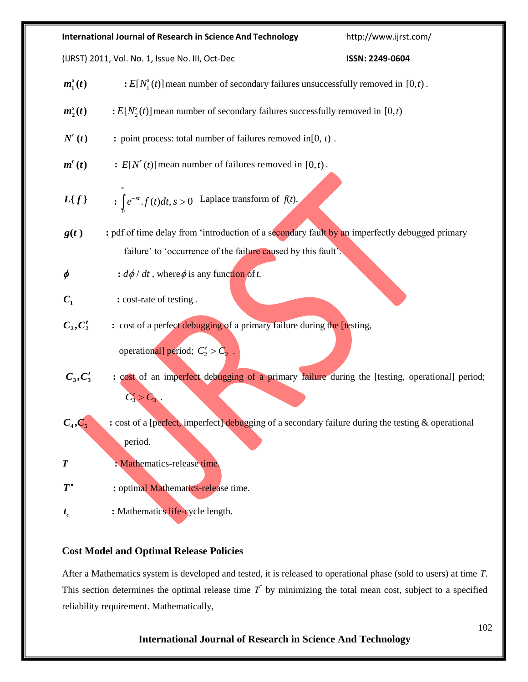| <b>International Journal of Research in Science And Technology</b> |                                                                                                    | http://www.ijrst.com/ |  |  |
|--------------------------------------------------------------------|----------------------------------------------------------------------------------------------------|-----------------------|--|--|
| (IJRST) 2011, Vol. No. 1, Issue No. III, Oct-Dec                   |                                                                                                    | ISSN: 2249-0604       |  |  |
| $m_1^s(t)$                                                         | $\div E[N_1^s(t)]$ mean number of secondary failures unsuccessfully removed in [0, <i>t</i> ).     |                       |  |  |
| $m_2^s(t)$                                                         | $\div E[N_2^s(t)]$ mean number of secondary failures successfully removed in [0, <i>t</i> )        |                       |  |  |
| $N^{r}(t)$                                                         | : point process: total number of failures removed in $[0, t)$ .                                    |                       |  |  |
| $m^{r}(t)$                                                         | : $E[N^{r}(t)]$ mean number of failures removed in [0,t).                                          |                       |  |  |
| $L\{f\}$                                                           | : $\int e^{-st} \cdot f(t) dt$ , $s > 0$ Laplace transform of $f(t)$ .                             |                       |  |  |
| g(t)                                                               | : pdf of time delay from 'introduction of a secondary fault by an imperfectly debugged primary     |                       |  |  |
|                                                                    | failure' to 'occurrence of the failure caused by this fault'.                                      |                       |  |  |
| φ                                                                  | : $d\phi/dt$ , where $\phi$ is any function of t.                                                  |                       |  |  |
| $C_1$                                                              | : cost-rate of testing.                                                                            |                       |  |  |
| $C_2, C'_2$                                                        | : cost of a perfect debugging of a primary failure during the [testing,                            |                       |  |  |
|                                                                    | operational] period; $C_2' > C_2$ .                                                                |                       |  |  |
| $C_3, C'_3$                                                        | : cost of an imperfect debugging of a primary failure during the [testing, operational] period;    |                       |  |  |
|                                                                    | $C_3' > C_3$                                                                                       |                       |  |  |
| $C_4,C_5$                                                          | : cost of a [perfect, imperfect] debugging of a secondary failure during the testing & operational |                       |  |  |
|                                                                    | period.                                                                                            |                       |  |  |
| $\boldsymbol{T}$                                                   | : Mathematics-release time.                                                                        |                       |  |  |
| $T^{\bullet}$                                                      | : optimal Mathematics-release time.                                                                |                       |  |  |
| $t_{c}$                                                            | : Mathematics life-cycle length.                                                                   |                       |  |  |

# **Cost Model and Optimal Release Policies**

After a Mathematics system is developed and tested, it is released to operational phase (sold to users) at time *T*. This section determines the optimal release time  $T^*$  by minimizing the total mean cost, subject to a specified reliability requirement. Mathematically,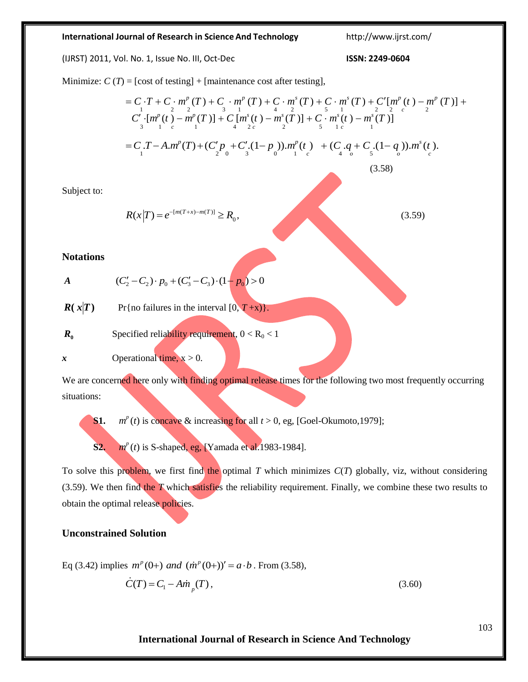#### **International Journal of Research in Science And Technology** <http://www.ijrst.com/>

(IJRST) 2011, Vol. No. 1, Issue No. III, Oct-Dec **ISSN: 2249-0604**

(3.58)

Minimize:  $C(T) = [\text{cost of testing}] + [\text{maintename cost after testing}],$ 

$$
= C \cdot T + C \cdot m^{p} (T) + C \cdot m^{p} (T) + C \cdot m^{s} (T) + C \cdot m^{s} (T) + C' [m^{p} (t) - m^{p} (T)] + C' \cdot [m^{p} (t) - m^{p} (T)] + C [m^{s} (t) - m^{s} (T)] + C [m^{s} (t) - m^{s} (T)] + C \cdot m^{s} (t) - m^{s} (T)]
$$
  
= C \cdot T - A.m^{p} (T) + (C' p<sub>2</sub> + C' (1-p<sub>0</sub>)).m^{p} (t) + (C<sub>4</sub> + C<sub>5</sub> (1-q<sub>0</sub>)).m^{s} (t).

Subject to:

$$
R(x|T) = e^{-[m(T+x)-m(T)]} \ge R_0,
$$
\n(3.59)

**Notations**

A 
$$
(C'_2 - C_2) \cdot p_0 + (C'_3 - C_3) \cdot (1 - p_0) > 0
$$

$$
R(x|T) \qquad \text{Pr}\{\text{no failures in the interval } [0, T+x)\}.
$$

$$
R_0
$$
 **Specificed reliability requirement,**  $0 < R_0 < 1$ 

 $x$  Operational time,  $x > 0$ .

We are concerned here only with finding optimal release times for the following two most frequently occurring situations:

**S1.** *m*  $m<sup>p</sup>(t)$  is concave & increasing for all  $t > 0$ , eg, [Goel-Okumoto,1979];

**S2.** *m*  $m^{p}(t)$  is S-shaped, eg, [Yamada et al.1983-1984].

To solve this problem, we first find the optimal *T* which minimizes *C*(*T*) globally, viz, without considering (3.59). We then find the *T* which satisfies the reliability requirement. Finally, we combine these two results to obtain the optimal release policies.

## **Unconstrained Solution**

Eq (3.42) implies 
$$
m^p(0+)
$$
 and  $(\dot{m}^p(0+))' = a \cdot b$ . From (3.58),  

$$
\dot{C}(T) = C_1 - A\dot{m}_p(T),
$$
(3.60)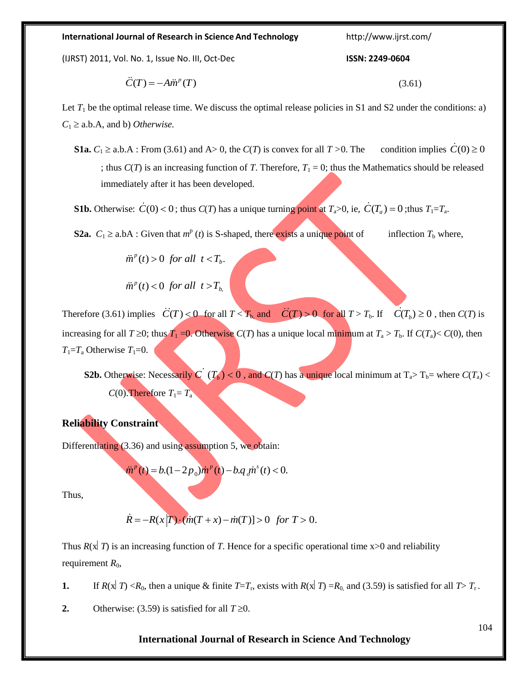**International Journal of Research in Science And Technology** <http://www.ijrst.com/>

(IJRST) 2011, Vol. No. 1, Issue No. III, Oct-Dec **ISSN: 2249-0604**

$$
\ddot{C}(T) = -A\ddot{m}^p(T) \tag{3.61}
$$

Let  $T_1$  be the optimal release time. We discuss the optimal release policies in S1 and S2 under the conditions: a)  $C_1 \geq$  a.b.A, and b) *Otherwise*.

**S1a.**  $C_1 \ge a,b.A$ : From (3.61) and A $> 0$ , the *C*(*T*) is convex for all *T* $> 0$ . The condition implies  $\dot{C}(0) \ge 0$ ; thus  $C(T)$  is an increasing function of *T*. Therefore,  $T_1 = 0$ ; thus the Mathematics should be released immediately after it has been developed.

**S1b.** Otherwise:  $\dot{C}(0) < 0$ ; thus  $C(T)$  has a unique turning point at  $T_a > 0$ , ie,  $\dot{C}(T_a) = 0$ ; thus  $T_1 = T_a$ .

**S2a.**  $C_1 \ge a \cdot bA$ : Given that  $m^p(t)$  is S-shaped, there exists a unique point of inflection  $T_b$  where,

 $\ddot{m}^p(t) > 0$  *for all t* <  $T_b$ .

 $\ddot{m}^p(t) < 0$  *for all t* >  $T_b$ ,

Therefore (3.61) implies  $\ddot{C}(T) < 0$  for all  $T < T_b$  and  $\ddot{C}(T) > 0$  for all  $T > T_b$ . If  $\ddot{C}(T_b) \ge 0$ , then  $C(T)$  is increasing for all  $T \ge 0$ ; thus  $T_1 = 0$ . Otherwise  $C(T)$  has a unique local minimum at  $T_a > T_b$ . If  $C(T_a) < C(0)$ , then  $T_1 = T_a$  Otherwise  $T_1 = 0$ .

**S2b.** Otherwise: Necessarily *C* ( $T_b$ ) < 0, and *C*(*T*) has a unique local minimum at  $T_a$ >  $T_b$ = where *C*( $T_a$ ) < *C*(0). Therefore  $T_1 = T_a$ 

## **Reliability Constraint**

Differentiating (3.36) and using assumption 5, we obtain:

$$
\ddot{m}^p(t) = b(1 - 2p_0)\dot{m}^p(t) - b.q_j\dot{m}^s(t) < 0.
$$

Thus,

$$
\dot{R} = -R(x|T) \cdot (m(T+x) - m(T)) > 0 \text{ for } T > 0.
$$

Thus  $R(x|T)$  is an increasing function of T. Hence for a specific operational time  $x>0$  and reliability requirement  $R_0$ ,

**1.** If  $R(x|T) < R_0$ , then a unique & finite  $T=T_r$ , exists with  $R(x|T) = R_0$  and (3.59) is satisfied for all  $T>T_r$ .

**2.** Otherwise: (3.59) is satisfied for all  $T \ge 0$ .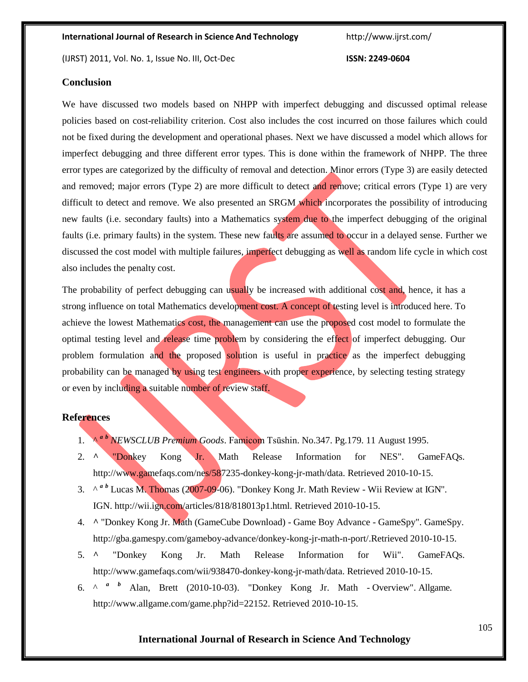(IJRST) 2011, Vol. No. 1, Issue No. III, Oct-Dec **ISSN: 2249-0604**

# **Conclusion**

We have discussed two models based on NHPP with imperfect debugging and discussed optimal release policies based on cost-reliability criterion. Cost also includes the cost incurred on those failures which could not be fixed during the development and operational phases. Next we have discussed a model which allows for imperfect debugging and three different error types. This is done within the framework of NHPP. The three error types are categorized by the difficulty of removal and detection. Minor errors (Type 3) are easily detected and removed; major errors (Type 2) are more difficult to detect and remove; critical errors (Type 1) are very difficult to detect and remove. We also presented an SRGM which incorporates the possibility of introducing new faults (i.e. secondary faults) into a Mathematics system due to the imperfect debugging of the original faults (i.e. primary faults) in the system. These new faults are assumed to occur in a delayed sense. Further we discussed the cost model with multiple failures, imperfect debugging as well as random life cycle in which cost also includes the penalty cost.

The probability of perfect debugging can usually be increased with additional cost and, hence, it has a strong influence on total Mathematics development cost. A concept of testing level is introduced here. To achieve the lowest Mathematics cost, the management can use the proposed cost model to formulate the optimal testing level and release time problem by considering the effect of imperfect debugging. Our problem formulation and the proposed solution is useful in practice as the imperfect debugging probability can be managed by using test engineers with proper experience, by selecting testing strategy or even by including a suitable number of review staff.

#### **References**

- 1. <sup>A *[a](http://en.wikipedia.org/wiki/Donkey_Kong_Jr._Math#cite_ref-famitsu11aug95_0-0) b*</sup> *[N](http://en.wikipedia.org/wiki/Donkey_Kong_Jr._Math#cite_ref-famitsu11aug95_0-0)EWSCLUB Premium Goods*. [Famicom Tsūshin.](http://en.wikipedia.org/wiki/Famicom_Ts%C5%ABshin) No.347. Pg.179. 11 August 1995.
- 2. **[^](http://en.wikipedia.org/wiki/Donkey_Kong_Jr._Math#cite_ref-1)** "Donkey Kong Jr. Math Release [Information](http://www.gamefaqs.com/nes/587235-donkey-kong-jr-math/data) for NES". [GameFAQs.](http://en.wikipedia.org/wiki/GameFAQs) http://www.gamefaqs.com/nes/587235-donkey-kong-jr-math/data. Retrieved 2010-10-15.
- 3[.](http://wii.ign.com/articles/818/818013p1.html)  $\wedge^{\alpha}$  $\wedge^{\alpha}$  $\wedge^{\alpha}$  *b* [L](http://en.wikipedia.org/wiki/Donkey_Kong_Jr._Math#cite_ref-ign_2-0)ucas M. Thomas (2007-09-06). ["Donkey Kong Jr. Math Review -](http://wii.ign.com/articles/818/818013p1.html) Wii Review at IGN". IGN. [http://wii.ign.com/articles/818/818013p1.html. R](http://wii.ign.com/articles/818/818013p1.html)etrieved 2010-10-15.
- 4. **[^](http://en.wikipedia.org/wiki/Donkey_Kong_Jr._Math#cite_ref-3)** ["Donkey Kong Jr. Math \(GameCube Download\) -](http://en.wikipedia.org/wiki/Donkey_Kong_Jr._Math#cite_ref-3) Game Boy Advance GameSpy". [G](http://en.wikipedia.org/wiki/GameSpy)ameSpy[.](http://en.wikipedia.org/wiki/GameSpy) http://gba.gamespy.com/gameboy-advance/donkey-kong-jr-math-n-port/.Retrieved 2010-10-15.
- 5. **[^](http://en.wikipedia.org/wiki/Donkey_Kong_Jr._Math#cite_ref-4)** "Donkey Kong Jr. Math Release [Information](http://www.gamefaqs.com/wii/938470-donkey-kong-jr-math/data) for Wii". [GameFAQs.](http://en.wikipedia.org/wiki/GameFAQs) http://www.gamefaqs.com/wii/938470-donkey-kong-jr-math/data. Retrieved 2010-10-15.
- 6. $\wedge$  <sup>*a*</sup> *[b](http://en.wikipedia.org/wiki/Donkey_Kong_Jr._Math#cite_ref-ag_5-1)* Alan, Brett (2010-10-03). ["Donkey Kong Jr. Math](http://www.allgame.com/game.php?id=22152) Overview". [Allgame.](http://en.wikipedia.org/wiki/Allgame) http://www.allgame.com/game.php?id=22152. Retrieved 2010-10-15.